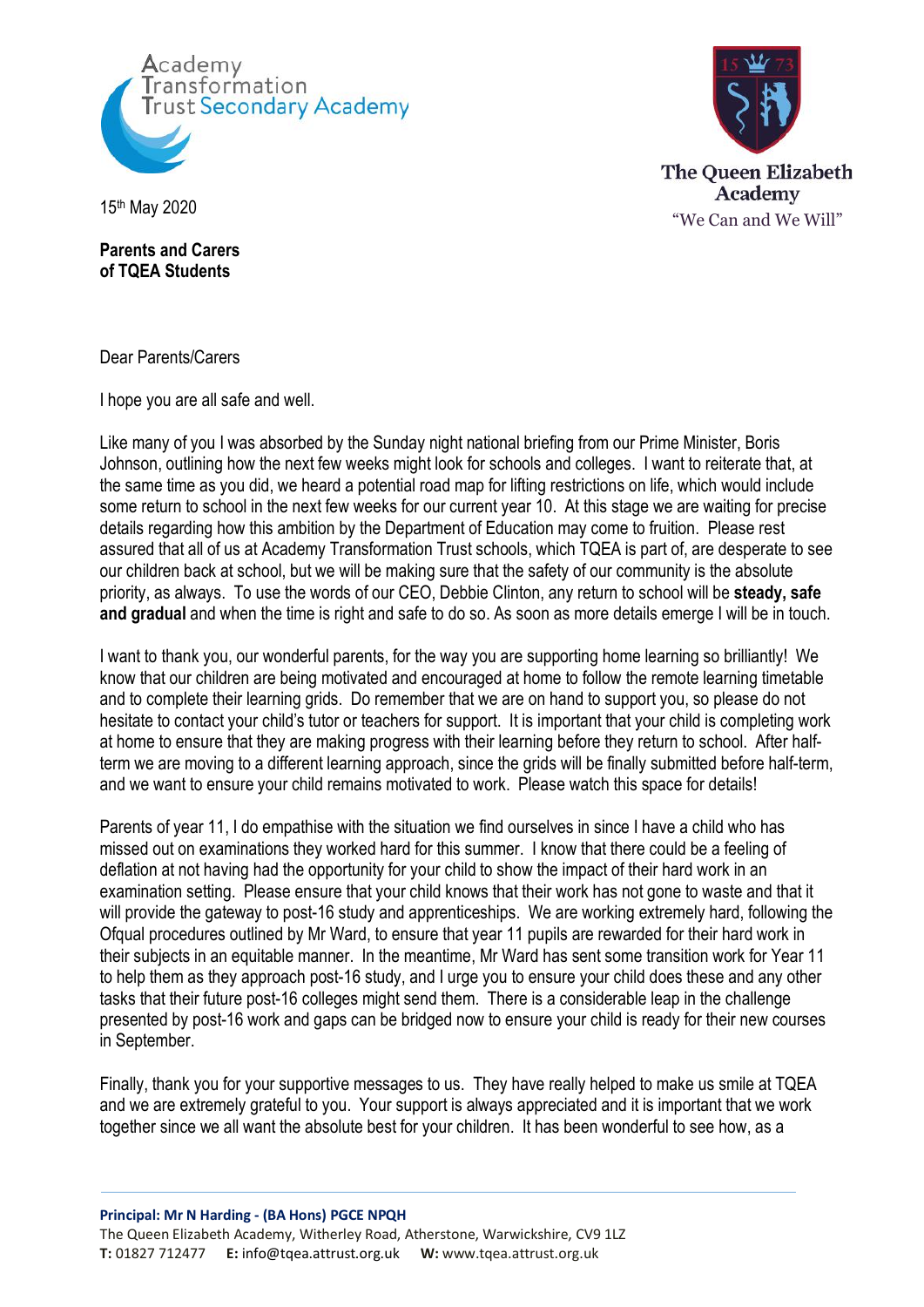



**Parents and Carers of TQEA Students**

Dear Parents/Carers

I hope you are all safe and well.

Like many of you I was absorbed by the Sunday night national briefing from our Prime Minister, Boris Johnson, outlining how the next few weeks might look for schools and colleges. I want to reiterate that, at the same time as you did, we heard a potential road map for lifting restrictions on life, which would include some return to school in the next few weeks for our current year 10. At this stage we are waiting for precise details regarding how this ambition by the Department of Education may come to fruition. Please rest assured that all of us at Academy Transformation Trust schools, which TQEA is part of, are desperate to see our children back at school, but we will be making sure that the safety of our community is the absolute priority, as always. To use the words of our CEO, Debbie Clinton, any return to school will be **steady, safe and gradual** and when the time is right and safe to do so. As soon as more details emerge I will be in touch.

I want to thank you, our wonderful parents, for the way you are supporting home learning so brilliantly! We know that our children are being motivated and encouraged at home to follow the remote learning timetable and to complete their learning grids. Do remember that we are on hand to support you, so please do not hesitate to contact your child's tutor or teachers for support. It is important that your child is completing work at home to ensure that they are making progress with their learning before they return to school. After halfterm we are moving to a different learning approach, since the grids will be finally submitted before half-term, and we want to ensure your child remains motivated to work. Please watch this space for details!

Parents of year 11, I do empathise with the situation we find ourselves in since I have a child who has missed out on examinations they worked hard for this summer. I know that there could be a feeling of deflation at not having had the opportunity for your child to show the impact of their hard work in an examination setting. Please ensure that your child knows that their work has not gone to waste and that it will provide the gateway to post-16 study and apprenticeships. We are working extremely hard, following the Ofqual procedures outlined by Mr Ward, to ensure that year 11 pupils are rewarded for their hard work in their subjects in an equitable manner. In the meantime, Mr Ward has sent some transition work for Year 11 to help them as they approach post-16 study, and I urge you to ensure your child does these and any other tasks that their future post-16 colleges might send them. There is a considerable leap in the challenge presented by post-16 work and gaps can be bridged now to ensure your child is ready for their new courses in September.

Finally, thank you for your supportive messages to us. They have really helped to make us smile at TQEA and we are extremely grateful to you. Your support is always appreciated and it is important that we work together since we all want the absolute best for your children. It has been wonderful to see how, as a